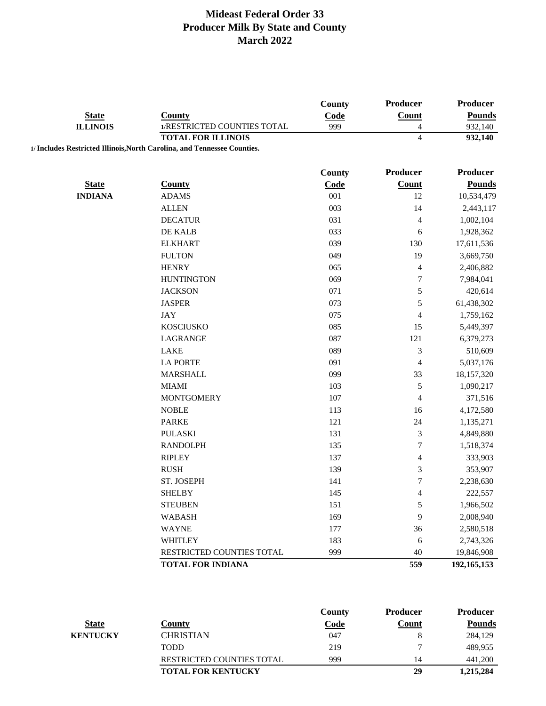|                 |                                                                          | <b>County</b> | Producer                 | <b>Producer</b> |
|-----------------|--------------------------------------------------------------------------|---------------|--------------------------|-----------------|
| <b>State</b>    | <b>County</b>                                                            | Code          | <b>Count</b>             | <b>Pounds</b>   |
| <b>ILLINOIS</b> | 1/RESTRICTED COUNTIES TOTAL                                              | 999           | $\overline{\mathcal{A}}$ | 932,140         |
|                 | <b>TOTAL FOR ILLINOIS</b>                                                |               | $\overline{\mathcal{L}}$ | 932,140         |
|                 | 1/ Includes Restricted Illinois, North Carolina, and Tennessee Counties. |               |                          |                 |
|                 |                                                                          | <b>County</b> | Producer                 | <b>Producer</b> |
| <b>State</b>    | <b>County</b>                                                            | Code          | Count                    | <b>Pounds</b>   |
| <b>INDIANA</b>  | <b>ADAMS</b>                                                             | 001           | 12                       | 10,534,479      |
|                 | <b>ALLEN</b>                                                             | 003           | 14                       | 2,443,117       |
|                 | <b>DECATUR</b>                                                           | 031           | 4                        | 1,002,104       |
|                 | DE KALB                                                                  | 033           | 6                        | 1,928,362       |
|                 | <b>ELKHART</b>                                                           | 039           | 130                      | 17,611,536      |
|                 | <b>FULTON</b>                                                            | 049           | 19                       | 3,669,750       |
|                 | <b>HENRY</b>                                                             | 065           | $\overline{\mathcal{L}}$ | 2,406,882       |
|                 | <b>HUNTINGTON</b>                                                        | 069           | 7                        | 7,984,041       |
|                 | <b>JACKSON</b>                                                           | 071           | 5                        | 420,614         |
|                 | <b>JASPER</b>                                                            | 073           | 5                        | 61,438,302      |
|                 | <b>JAY</b>                                                               | 075           | $\overline{\mathcal{L}}$ | 1,759,162       |
|                 | <b>KOSCIUSKO</b>                                                         | 085           | 15                       | 5,449,397       |
|                 | LAGRANGE                                                                 | 087           | 121                      | 6,379,273       |
|                 | LAKE                                                                     | 089           | 3                        | 510,609         |
|                 | <b>LA PORTE</b>                                                          | 091           | 4                        | 5,037,176       |
|                 | <b>MARSHALL</b>                                                          | 099           | 33                       | 18,157,320      |
|                 | <b>MIAMI</b>                                                             | 103           | 5                        | 1,090,217       |
|                 | <b>MONTGOMERY</b>                                                        | 107           | 4                        | 371,516         |
|                 | <b>NOBLE</b>                                                             | 113           | 16                       | 4,172,580       |
|                 | <b>PARKE</b>                                                             | 121           | 24                       | 1,135,271       |
|                 | <b>PULASKI</b>                                                           | 131           | 3                        | 4,849,880       |
|                 | <b>RANDOLPH</b>                                                          | 135           | $\overline{7}$           | 1,518,374       |
|                 | <b>RIPLEY</b>                                                            | 137           | 4                        | 333,903         |
|                 | <b>RUSH</b>                                                              | 139           | 3                        | 353,907         |
|                 | ST. JOSEPH                                                               | 141           | $\overline{7}$           | 2,238,630       |
|                 | <b>SHELBY</b>                                                            | 145           | 4                        | 222,557         |
|                 | <b>STEUBEN</b>                                                           | 151           | 5                        | 1,966,502       |
|                 | <b>WABASH</b>                                                            | 169           | 9                        | 2,008,940       |
|                 | <b>WAYNE</b>                                                             | 177           | 36                       | 2,580,518       |
|                 | <b>WHITLEY</b>                                                           | 183           | 6                        | 2,743,326       |
|                 | RESTRICTED COUNTIES TOTAL                                                | 999           | 40                       | 19,846,908      |
|                 | <b>TOTAL FOR INDIANA</b>                                                 |               | 559                      | 192, 165, 153   |

|                 |                                  | County      | <b>Producer</b> | <b>Producer</b> |
|-----------------|----------------------------------|-------------|-----------------|-----------------|
| <b>State</b>    | Countv                           | <b>Code</b> | Count           | <b>Pounds</b>   |
| <b>KENTUCKY</b> | <b>CHRISTIAN</b>                 | 047         |                 | 284.129         |
|                 | <b>TODD</b>                      | 219         |                 | 489.955         |
|                 | <b>RESTRICTED COUNTIES TOTAL</b> | 999         | 14              | 441,200         |
|                 | <b>TOTAL FOR KENTUCKY</b>        |             | 29              | 1,215,284       |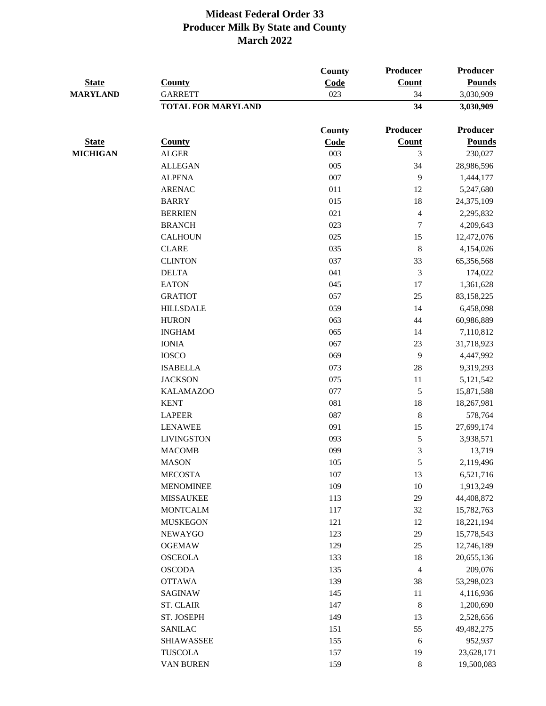|                 |                           | County        | Producer                | <b>Producer</b><br><b>Pounds</b> |  |
|-----------------|---------------------------|---------------|-------------------------|----------------------------------|--|
| <b>State</b>    | <b>County</b>             | Code          | <b>Count</b>            |                                  |  |
| <b>MARYLAND</b> | <b>GARRETT</b>            | 023           | 34                      | 3,030,909                        |  |
|                 | <b>TOTAL FOR MARYLAND</b> |               | 34                      | 3,030,909                        |  |
|                 |                           | <b>County</b> | Producer                | <b>Producer</b>                  |  |
| <b>State</b>    | <b>County</b>             | Code          | Count                   | <b>Pounds</b>                    |  |
| <b>MICHIGAN</b> | <b>ALGER</b>              | 003           | 3                       | 230,027                          |  |
|                 | <b>ALLEGAN</b>            | 005           | 34                      | 28,986,596                       |  |
|                 | <b>ALPENA</b>             | 007           | 9                       | 1,444,177                        |  |
|                 | <b>ARENAC</b>             | 011           | 12                      | 5,247,680                        |  |
|                 | <b>BARRY</b>              | 015           | 18                      | 24,375,109                       |  |
|                 | <b>BERRIEN</b>            | 021           | $\overline{4}$          | 2,295,832                        |  |
|                 | <b>BRANCH</b>             | 023           | 7                       | 4,209,643                        |  |
|                 | <b>CALHOUN</b>            | 025           | 15                      | 12,472,076                       |  |
|                 | <b>CLARE</b>              | 035           | $\,8\,$                 | 4,154,026                        |  |
|                 | <b>CLINTON</b>            | 037           | 33                      | 65,356,568                       |  |
|                 | <b>DELTA</b>              | 041           | 3                       | 174,022                          |  |
|                 | <b>EATON</b>              | 045           | $17\,$                  | 1,361,628                        |  |
|                 | <b>GRATIOT</b>            | 057           | 25                      | 83,158,225                       |  |
|                 | <b>HILLSDALE</b>          | 059           | 14                      | 6,458,098                        |  |
|                 | <b>HURON</b>              | 063           | 44                      | 60,986,889                       |  |
|                 | <b>INGHAM</b>             | 065           | 14                      | 7,110,812                        |  |
|                 | <b>IONIA</b>              | 067           | 23                      | 31,718,923                       |  |
|                 | <b>IOSCO</b>              | 069           | 9                       | 4,447,992                        |  |
|                 | <b>ISABELLA</b>           | 073           | 28                      | 9,319,293                        |  |
|                 | <b>JACKSON</b>            | 075           | 11                      | 5,121,542                        |  |
|                 | <b>KALAMAZOO</b>          | 077           | 5                       | 15,871,588                       |  |
|                 | <b>KENT</b>               | 081           | 18                      | 18,267,981                       |  |
|                 | <b>LAPEER</b>             | 087           | $\,8\,$                 | 578,764                          |  |
|                 | <b>LENAWEE</b>            | 091           | 15                      | 27,699,174                       |  |
|                 | <b>LIVINGSTON</b>         | 093           | 5                       | 3,938,571                        |  |
|                 | <b>MACOMB</b>             | 099           | 3                       | 13,719                           |  |
|                 | <b>MASON</b>              | 105           | $\mathfrak s$           | 2,119,496                        |  |
|                 | <b>MECOSTA</b>            | 107           | 13                      | 6,521,716                        |  |
|                 | <b>MENOMINEE</b>          | 109           | $10\,$                  | 1,913,249                        |  |
|                 | <b>MISSAUKEE</b>          | 113           | 29                      | 44,408,872                       |  |
|                 | <b>MONTCALM</b>           | 117           | 32                      | 15,782,763                       |  |
|                 | <b>MUSKEGON</b>           | 121           | 12                      | 18,221,194                       |  |
|                 | <b>NEWAYGO</b>            | 123           | 29                      | 15,778,543                       |  |
|                 | <b>OGEMAW</b>             | 129           | $25\,$                  | 12,746,189                       |  |
|                 | <b>OSCEOLA</b>            | 133           | 18                      | 20,655,136                       |  |
|                 | <b>OSCODA</b>             | 135           | $\overline{\mathbf{4}}$ | 209,076                          |  |
|                 | <b>OTTAWA</b>             | 139           | 38                      | 53,298,023                       |  |
|                 | SAGINAW                   | 145           | 11                      | 4,116,936                        |  |
|                 | <b>ST. CLAIR</b>          | 147           | $\,8\,$                 | 1,200,690                        |  |
|                 | ST. JOSEPH                | 149           | 13                      | 2,528,656                        |  |
|                 | <b>SANILAC</b>            | 151           | 55                      | 49,482,275                       |  |
|                 | <b>SHIAWASSEE</b>         | 155           | 6                       | 952,937                          |  |
|                 | <b>TUSCOLA</b>            | 157           | 19                      | 23,628,171                       |  |
|                 | VAN BUREN                 | 159           | $\,8\,$                 | 19,500,083                       |  |
|                 |                           |               |                         |                                  |  |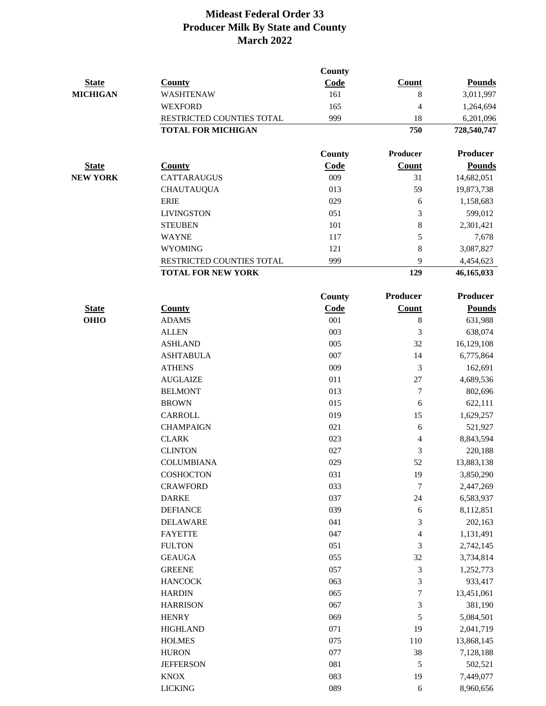|                 |                           | County        |                         |                 |
|-----------------|---------------------------|---------------|-------------------------|-----------------|
| <b>State</b>    | <b>County</b>             | Code          | <b>Count</b>            | <b>Pounds</b>   |
| <b>MICHIGAN</b> | <b>WASHTENAW</b>          | 161           | 8                       | 3,011,997       |
|                 | <b>WEXFORD</b>            | 165           | 4                       | 1,264,694       |
|                 | RESTRICTED COUNTIES TOTAL | 999           | 18                      | 6,201,096       |
|                 | <b>TOTAL FOR MICHIGAN</b> |               | 750                     | 728,540,747     |
|                 |                           | County        | Producer                | <b>Producer</b> |
| <b>State</b>    | <b>County</b>             | Code          | Count                   | <b>Pounds</b>   |
| <b>NEW YORK</b> | <b>CATTARAUGUS</b>        | 009           | 31                      | 14,682,051      |
|                 | <b>CHAUTAUQUA</b>         | 013           | 59                      | 19,873,738      |
|                 | <b>ERIE</b>               | 029           | 6                       | 1,158,683       |
|                 | <b>LIVINGSTON</b>         | 051           | 3                       | 599,012         |
|                 | <b>STEUBEN</b>            | 101           | $\,8\,$                 | 2,301,421       |
|                 | <b>WAYNE</b>              | 117           | 5                       | 7,678           |
|                 | <b>WYOMING</b>            | 121           | 8                       | 3,087,827       |
|                 | RESTRICTED COUNTIES TOTAL | 999           | 9                       | 4,454,623       |
|                 | <b>TOTAL FOR NEW YORK</b> |               | 129                     | 46,165,033      |
|                 |                           | <b>County</b> | Producer                | <b>Producer</b> |
| <b>State</b>    | <b>County</b>             | Code          | Count                   | <b>Pounds</b>   |
| <b>OHIO</b>     | <b>ADAMS</b>              | 001           | $\,8\,$                 | 631,988         |
|                 | <b>ALLEN</b>              | 003           | $\mathfrak{Z}$          | 638,074         |
|                 | <b>ASHLAND</b>            | 005           | 32                      | 16,129,108      |
|                 | <b>ASHTABULA</b>          | 007           | 14                      | 6,775,864       |
|                 | <b>ATHENS</b>             | 009           | 3                       | 162,691         |
|                 | <b>AUGLAIZE</b>           | 011           | 27                      | 4,689,536       |
|                 | <b>BELMONT</b>            | 013           | 7                       | 802,696         |
|                 | <b>BROWN</b>              | 015           | 6                       | 622,111         |
|                 | CARROLL                   | 019           | 15                      | 1,629,257       |
|                 | <b>CHAMPAIGN</b>          | 021           | 6                       | 521,927         |
|                 | <b>CLARK</b>              | 023           | 4                       | 8,843,594       |
|                 | <b>CLINTON</b>            | 027           | 3                       | 220,188         |
|                 | <b>COLUMBIANA</b>         | 029           | 52                      | 13,883,138      |
|                 | COSHOCTON                 | 031           | 19                      | 3,850,290       |
|                 | <b>CRAWFORD</b>           | 033           | $\tau$                  | 2,447,269       |
|                 | <b>DARKE</b>              | 037           | 24                      | 6,583,937       |
|                 | <b>DEFIANCE</b>           | 039           | $\sqrt{6}$              | 8,112,851       |
|                 | <b>DELAWARE</b>           | 041           | 3                       | 202,163         |
|                 | <b>FAYETTE</b>            | 047           | $\overline{\mathbf{4}}$ | 1,131,491       |
|                 | <b>FULTON</b>             | 051           | 3                       | 2,742,145       |
|                 | <b>GEAUGA</b>             | 055           | 32                      | 3,734,814       |
|                 | <b>GREENE</b>             | 057           | 3                       | 1,252,773       |
|                 | <b>HANCOCK</b>            | 063           | 3                       | 933,417         |
|                 | <b>HARDIN</b>             | 065           | 7                       | 13,451,061      |
|                 | <b>HARRISON</b>           | 067           | 3                       | 381,190         |
|                 | <b>HENRY</b>              | 069           | 5                       | 5,084,501       |
|                 | <b>HIGHLAND</b>           | 071           | 19                      | 2,041,719       |
|                 | <b>HOLMES</b>             | 075           | 110                     | 13,868,145      |
|                 | <b>HURON</b>              | 077           | 38                      | 7,128,188       |
|                 | <b>JEFFERSON</b>          | 081           | 5                       | 502,521         |
|                 | <b>KNOX</b>               | 083           | 19                      | 7,449,077       |
|                 | <b>LICKING</b>            | 089           | $\sqrt{6}$              | 8,960,656       |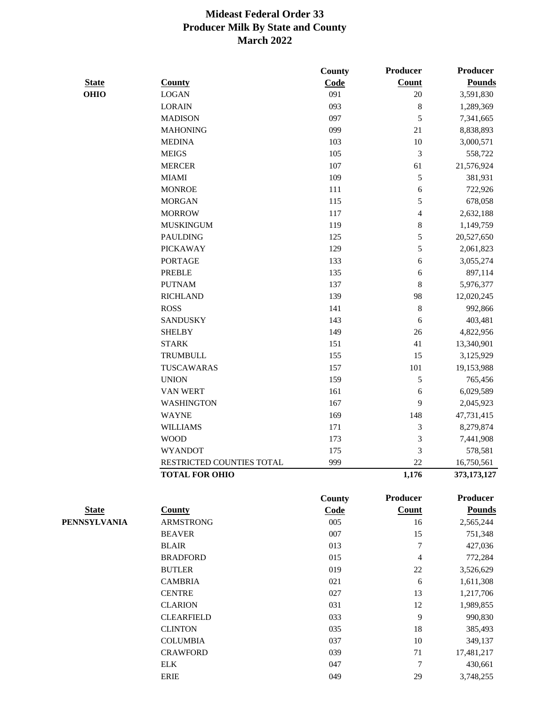|              |                           | County | Producer        | Producer      |
|--------------|---------------------------|--------|-----------------|---------------|
| <b>State</b> | <b>County</b>             | Code   | Count           | <b>Pounds</b> |
| <b>OHIO</b>  | <b>LOGAN</b>              | 091    | $20\,$          | 3,591,830     |
|              | <b>LORAIN</b>             | 093    | $\,8\,$         | 1,289,369     |
|              | <b>MADISON</b>            | 097    | 5               | 7,341,665     |
|              | <b>MAHONING</b>           | 099    | 21              | 8,838,893     |
|              | <b>MEDINA</b>             | 103    | $10\,$          | 3,000,571     |
|              | <b>MEIGS</b>              | 105    | $\mathfrak 3$   | 558,722       |
|              | <b>MERCER</b>             | 107    | 61              | 21,576,924    |
|              | <b>MIAMI</b>              | 109    | 5               | 381,931       |
|              | <b>MONROE</b>             | 111    | 6               | 722,926       |
|              | <b>MORGAN</b>             | 115    | 5               | 678,058       |
|              | <b>MORROW</b>             | 117    | $\overline{4}$  | 2,632,188     |
|              | <b>MUSKINGUM</b>          | 119    | $\,8\,$         | 1,149,759     |
|              | <b>PAULDING</b>           | 125    | 5               | 20,527,650    |
|              | <b>PICKAWAY</b>           | 129    | 5               | 2,061,823     |
|              | <b>PORTAGE</b>            | 133    | 6               | 3,055,274     |
|              | <b>PREBLE</b>             | 135    | 6               | 897,114       |
|              | <b>PUTNAM</b>             | 137    | $\,8\,$         | 5,976,377     |
|              | <b>RICHLAND</b>           | 139    | 98              | 12,020,245    |
|              | <b>ROSS</b>               | 141    | $\,8\,$         | 992,866       |
|              | <b>SANDUSKY</b>           | 143    | 6               | 403,481       |
|              | <b>SHELBY</b>             | 149    | $26\,$          | 4,822,956     |
|              | <b>STARK</b>              | 151    | 41              | 13,340,901    |
|              | <b>TRUMBULL</b>           | 155    | 15              | 3,125,929     |
|              | TUSCAWARAS                | 157    | 101             | 19,153,988    |
|              | <b>UNION</b>              | 159    | $\sqrt{5}$      | 765,456       |
|              | VAN WERT                  | 161    | 6               | 6,029,589     |
|              | <b>WASHINGTON</b>         | 167    | 9               | 2,045,923     |
|              | <b>WAYNE</b>              | 169    | 148             | 47,731,415    |
|              | <b>WILLIAMS</b>           | 171    | $\mathfrak 3$   | 8,279,874     |
|              | <b>WOOD</b>               | 173    | 3               | 7,441,908     |
|              | <b>WYANDOT</b>            | 175    | 3               | 578,581       |
|              | RESTRICTED COUNTIES TOTAL | 999    | $22\,$          | 16,750,561    |
|              | <b>TOTAL FOR OHIO</b>     |        | 1,176           | 373, 173, 127 |
|              |                           | County | <b>Producer</b> | Producer      |
| <b>State</b> | <b>County</b>             | Code   | Count           | <b>Pounds</b> |
| PENNSYLVANIA | <b>ARMSTRONG</b>          | 005    | 16              | 2,565,244     |
|              | <b>BEAVER</b>             | 007    | 15              | 751,348       |
|              | <b>BLAIR</b>              | 013    | $\tau$          | 427,036       |
|              | <b>BRADFORD</b>           | 015    | $\overline{4}$  | 772,284       |
|              | <b>BUTLER</b>             | 019    | $22\,$          | 3,526,629     |
|              | <b>CAMBRIA</b>            | 021    | 6               | 1,611,308     |
|              | <b>CENTRE</b>             | 027    | 13              | 1,217,706     |
|              | <b>CLARION</b>            | 031    | 12              | 1,989,855     |
|              | <b>CLEARFIELD</b>         | 033    | 9               | 990,830       |
|              | <b>CLINTON</b>            | 035    | 18              | 385,493       |
|              | <b>COLUMBIA</b>           | 037    | 10              | 349,137       |
|              | <b>CRAWFORD</b>           | 039    | 71              | 17,481,217    |
|              | ${\rm ELK}$               | 047    | $\tau$          | 430,661       |
|              | <b>ERIE</b>               | 049    | 29              | 3,748,255     |